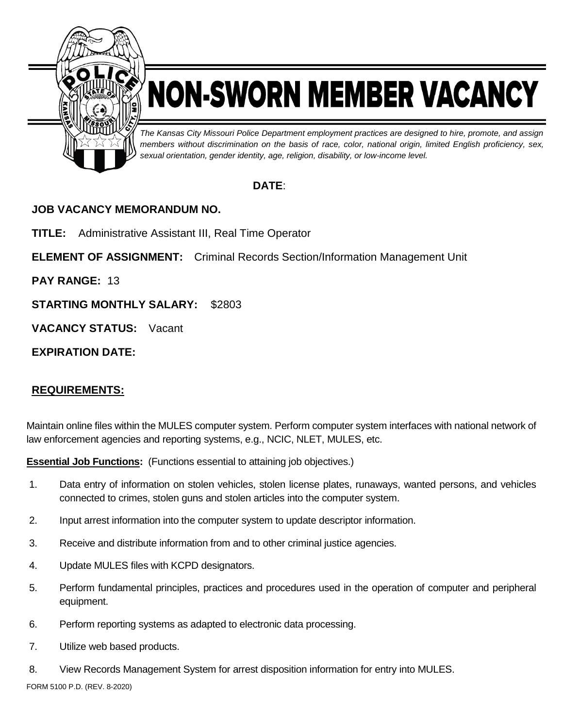

# NON-SWORN MEMBER VACANCY

*The Kansas City Missouri Police Department employment practices are designed to hire, promote, and assign members without discrimination on the basis of race, color, national origin, limited English proficiency, sex, sexual orientation, gender identity, age, religion, disability, or low-income level.*

## **DATE**:

## **JOB VACANCY MEMORANDUM NO.**

**TITLE:** Administrative Assistant III, Real Time Operator

**ELEMENT OF ASSIGNMENT:** Criminal Records Section/Information Management Unit

**PAY RANGE:** 13

**STARTING MONTHLY SALARY:** \$2803

**VACANCY STATUS:** Vacant

**EXPIRATION DATE:**

## **REQUIREMENTS:**

Maintain online files within the MULES computer system. Perform computer system interfaces with national network of law enforcement agencies and reporting systems, e.g., NCIC, NLET, MULES, etc.

**Essential Job Functions:** (Functions essential to attaining job objectives.)

- 1. Data entry of information on stolen vehicles, stolen license plates, runaways, wanted persons, and vehicles connected to crimes, stolen guns and stolen articles into the computer system.
- 2. Input arrest information into the computer system to update descriptor information.
- 3. Receive and distribute information from and to other criminal justice agencies.
- 4. Update MULES files with KCPD designators.
- 5. Perform fundamental principles, practices and procedures used in the operation of computer and peripheral equipment.
- 6. Perform reporting systems as adapted to electronic data processing.
- 7. Utilize web based products.
- 8. View Records Management System for arrest disposition information for entry into MULES.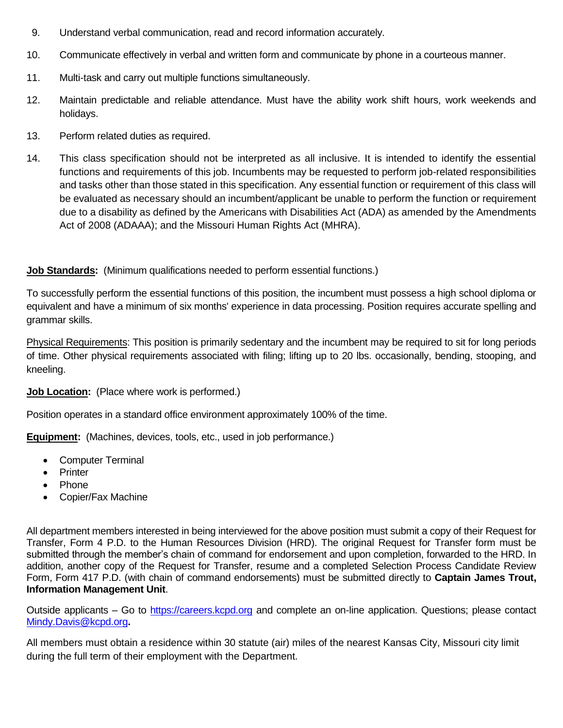- 9. Understand verbal communication, read and record information accurately.
- 10. Communicate effectively in verbal and written form and communicate by phone in a courteous manner.
- 11. Multi-task and carry out multiple functions simultaneously.
- 12. Maintain predictable and reliable attendance. Must have the ability work shift hours, work weekends and holidays.
- 13. Perform related duties as required.
- 14. This class specification should not be interpreted as all inclusive. It is intended to identify the essential functions and requirements of this job. Incumbents may be requested to perform job-related responsibilities and tasks other than those stated in this specification. Any essential function or requirement of this class will be evaluated as necessary should an incumbent/applicant be unable to perform the function or requirement due to a disability as defined by the Americans with Disabilities Act (ADA) as amended by the Amendments Act of 2008 (ADAAA); and the Missouri Human Rights Act (MHRA).

#### **Job Standards:** (Minimum qualifications needed to perform essential functions.)

To successfully perform the essential functions of this position, the incumbent must possess a high school diploma or equivalent and have a minimum of six months' experience in data processing. Position requires accurate spelling and grammar skills.

Physical Requirements: This position is primarily sedentary and the incumbent may be required to sit for long periods of time. Other physical requirements associated with filing; lifting up to 20 lbs. occasionally, bending, stooping, and kneeling.

#### **Job Location:** (Place where work is performed.)

Position operates in a standard office environment approximately 100% of the time.

**Equipment:** (Machines, devices, tools, etc., used in job performance.)

- Computer Terminal
- **•** Printer
- Phone
- Copier/Fax Machine

All department members interested in being interviewed for the above position must submit a copy of their Request for Transfer, Form 4 P.D. to the Human Resources Division (HRD). The original Request for Transfer form must be submitted through the member's chain of command for endorsement and upon completion, forwarded to the HRD. In addition, another copy of the Request for Transfer, resume and a completed Selection Process Candidate Review Form, Form 417 P.D. (with chain of command endorsements) must be submitted directly to **Captain James Trout, Information Management Unit**.

Outside applicants – Go to [https://careers.kcpd.org](https://careers.kcpd.org/) and complete an on-line application. Questions; please contact [Mindy.Davis@kcpd.org](mailto:Mindy.Davis@kcpd.org)**.**

All members must obtain a residence within 30 statute (air) miles of the nearest Kansas City, Missouri city limit during the full term of their employment with the Department.